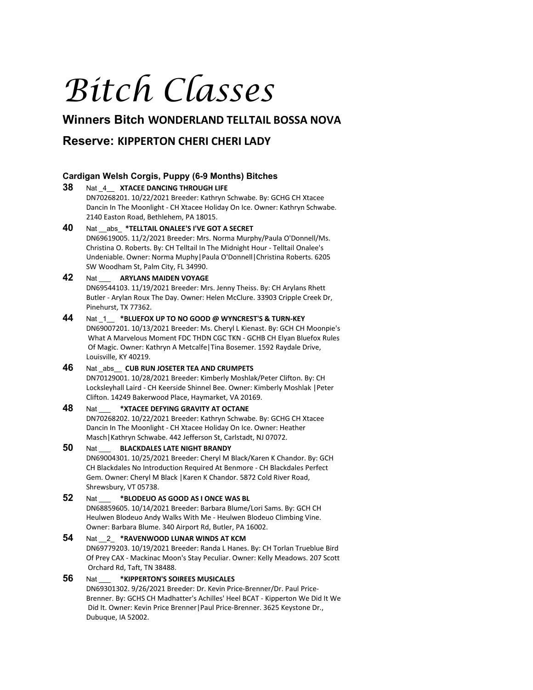# *Bitch Classes*

# **Winners Bitch WONDERLAND TELLTAIL BOSSA NOVA**

# **Reserve: KIPPERTON CHERI CHERI LADY**

# **Cardigan Welsh Corgis, Puppy (6-9 Months) Bitches**

# **38** Nat \_4\_\_ **XTACEE DANCING THROUGH LIFE** DN70268201. 10/22/2021 Breeder: Kathryn Schwabe. By: GCHG CH Xtacee Dancin In The Moonlight - CH Xtacee Holiday On Ice. Owner: Kathryn Schwabe. 2140 Easton Road, Bethlehem, PA 18015. **40** Nat \_\_abs\_ **\*TELLTAIL ONALEE'S I'VE GOT A SECRET** DN69619005. 11/2/2021 Breeder: Mrs. Norma Murphy/Paula O'Donnell/Ms. Christina O. Roberts. By: CH Telltail In The Midnight Hour - Telltail Onalee's Undeniable. Owner: Norma Muphy|Paula O'Donnell|Christina Roberts. 6205 SW Woodham St, Palm City, FL 34990. **42** Nat \_\_\_ **ARYLANS MAIDEN VOYAGE** DN69544103. 11/19/2021 Breeder: Mrs. Jenny Theiss. By: CH Arylans Rhett Butler - Arylan Roux The Day. Owner: Helen McClure. 33903 Cripple Creek Dr, Pinehurst, TX 77362. **44** Nat \_1\_\_ **\*BLUEFOX UP TO NO GOOD @ WYNCREST'S & TURN-KEY** DN69007201. 10/13/2021 Breeder: Ms. Cheryl L Kienast. By: GCH CH Moonpie's What A Marvelous Moment FDC THDN CGC TKN - GCHB CH Elyan Bluefox Rules

Of Magic. Owner: Kathryn A Metcalfe|Tina Bosemer. 1592 Raydale Drive, Louisville, KY 40219. **46** Nat \_abs\_\_ **CUB RUN JOSETER TEA AND CRUMPETS**

DN70129001. 10/28/2021 Breeder: Kimberly Moshlak/Peter Clifton. By: CH Locksleyhall Laird - CH Keerside Shinnel Bee. Owner: Kimberly Moshlak |Peter Clifton. 14249 Bakerwood Place, Haymarket, VA 20169.

# **48** Nat \_\_\_ **\*XTACEE DEFYING GRAVITY AT OCTANE**

DN70268202. 10/22/2021 Breeder: Kathryn Schwabe. By: GCHG CH Xtacee Dancin In The Moonlight - CH Xtacee Holiday On Ice. Owner: Heather Masch|Kathryn Schwabe. 442 Jefferson St, Carlstadt, NJ 07072.

## **50** Nat \_\_\_ **BLACKDALES LATE NIGHT BRANDY** DN69004301. 10/25/2021 Breeder: Cheryl M Black/Karen K Chandor. By: GCH CH Blackdales No Introduction Required At Benmore - CH Blackdales Perfect Gem. Owner: Cheryl M Black |Karen K Chandor. 5872 Cold River Road, Shrewsbury, VT 05738.

# **52** Nat \_\_\_ **\*BLODEUO AS GOOD AS I ONCE WAS BL**

DN68859605. 10/14/2021 Breeder: Barbara Blume/Lori Sams. By: GCH CH Heulwen Blodeuo Andy Walks With Me - Heulwen Blodeuo Climbing Vine. Owner: Barbara Blume. 340 Airport Rd, Butler, PA 16002.

# **54** Nat \_\_2\_ **\*RAVENWOOD LUNAR WINDS AT KCM** DN69779203. 10/19/2021 Breeder: Randa L Hanes. By: CH Torlan Trueblue Bird Of Prey CAX - Mackinac Moon's Stay Peculiar. Owner: Kelly Meadows. 207 Scott Orchard Rd, Taft, TN 38488.

# **56** Nat \_\_\_ **\*KIPPERTON'S SOIREES MUSICALES**

DN69301302. 9/26/2021 Breeder: Dr. Kevin Price-Brenner/Dr. Paul Price-Brenner. By: GCHS CH Madhatter's Achilles' Heel BCAT - Kipperton We Did It We Did It. Owner: Kevin Price Brenner|Paul Price-Brenner. 3625 Keystone Dr., Dubuque, IA 52002.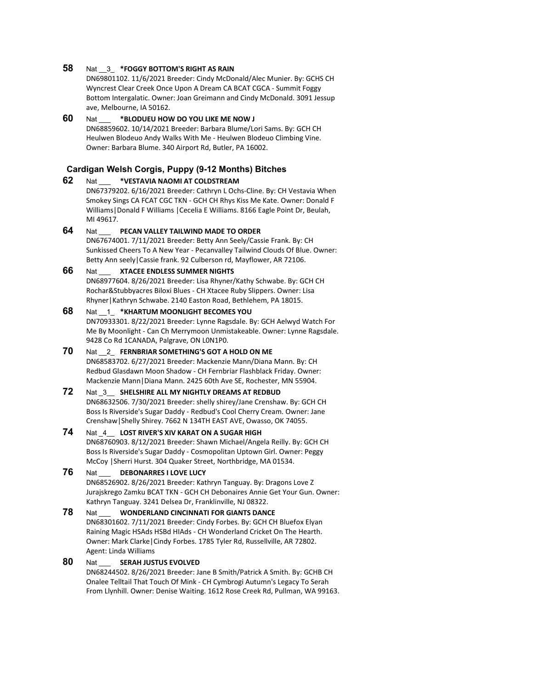#### **58** Nat \_\_3\_ **\*FOGGY BOTTOM'S RIGHT AS RAIN**

DN69801102. 11/6/2021 Breeder: Cindy McDonald/Alec Munier. By: GCHS CH Wyncrest Clear Creek Once Upon A Dream CA BCAT CGCA - Summit Foggy Bottom Intergalatic. Owner: Joan Greimann and Cindy McDonald. 3091 Jessup ave, Melbourne, IA 50162.

## **60** Nat \_\_\_ **\*BLODUEU HOW DO YOU LIKE ME NOW J** DN68859602. 10/14/2021 Breeder: Barbara Blume/Lori Sams. By: GCH CH Heulwen Blodeuo Andy Walks With Me - Heulwen Blodeuo Climbing Vine. Owner: Barbara Blume. 340 Airport Rd, Butler, PA 16002.

## **Cardigan Welsh Corgis, Puppy (9-12 Months) Bitches**

**62** Nat \_\_\_ **\*VESTAVIA NAOMI AT COLDSTREAM** DN67379202. 6/16/2021 Breeder: Cathryn L Ochs-Cline. By: CH Vestavia When Smokey Sings CA FCAT CGC TKN - GCH CH Rhys Kiss Me Kate. Owner: Donald F Williams|Donald F Williams |Cecelia E Williams. 8166 Eagle Point Dr, Beulah, MI 49617.

**64** Nat \_\_\_ **PECAN VALLEY TAILWIND MADE TO ORDER** DN67674001. 7/11/2021 Breeder: Betty Ann Seely/Cassie Frank. By: CH Sunkissed Cheers To A New Year - Pecanvalley Tailwind Clouds Of Blue. Owner: Betty Ann seely|Cassie frank. 92 Culberson rd, Mayflower, AR 72106.

#### **66** Nat \_\_\_ **XTACEE ENDLESS SUMMER NIGHTS**

DN68977604. 8/26/2021 Breeder: Lisa Rhyner/Kathy Schwabe. By: GCH CH Rochar&Stubbyacres Biloxi Blues - CH Xtacee Ruby Slippers. Owner: Lisa Rhyner|Kathryn Schwabe. 2140 Easton Road, Bethlehem, PA 18015.

# **68** Nat \_\_1\_ **\*KHARTUM MOONLIGHT BECOMES YOU**

DN70933301. 8/22/2021 Breeder: Lynne Ragsdale. By: GCH Aelwyd Watch For Me By Moonlight - Can Ch Merrymoon Unmistakeable. Owner: Lynne Ragsdale. 9428 Co Rd 1CANADA, Palgrave, ON L0N1P0.

**70** Nat \_\_2\_ **FERNBRIAR SOMETHING'S GOT A HOLD ON ME** DN68583702. 6/27/2021 Breeder: Mackenzie Mann/Diana Mann. By: CH Redbud Glasdawn Moon Shadow - CH Fernbriar Flashblack Friday. Owner: Mackenzie Mann|Diana Mann. 2425 60th Ave SE, Rochester, MN 55904.

# **72** Nat \_3\_\_ **SHELSHIRE ALL MY NIGHTLY DREAMS AT REDBUD**

DN68632506. 7/30/2021 Breeder: shelly shirey/Jane Crenshaw. By: GCH CH Boss Is Riverside's Sugar Daddy - Redbud's Cool Cherry Cream. Owner: Jane Crenshaw|Shelly Shirey. 7662 N 134TH EAST AVE, Owasso, OK 74055.

# **74** Nat \_4\_\_ **LOST RIVER'S XIV KARAT ON A SUGAR HIGH**

DN68760903. 8/12/2021 Breeder: Shawn Michael/Angela Reilly. By: GCH CH Boss Is Riverside's Sugar Daddy - Cosmopolitan Uptown Girl. Owner: Peggy McCoy |Sherri Hurst. 304 Quaker Street, Northbridge, MA 01534.

# **76** Nat \_\_\_ **DEBONARRES I LOVE LUCY**

DN68526902. 8/26/2021 Breeder: Kathryn Tanguay. By: Dragons Love Z Jurajskrego Zamku BCAT TKN - GCH CH Debonaires Annie Get Your Gun. Owner: Kathryn Tanguay. 3241 Delsea Dr, Franklinville, NJ 08322.

# **78** Nat \_\_\_ **WONDERLAND CINCINNATI FOR GIANTS DANCE**

DN68301602. 7/11/2021 Breeder: Cindy Forbes. By: GCH CH Bluefox Elyan Raining Magic HSAds HSBd HIAds - CH Wonderland Cricket On The Hearth. Owner: Mark Clarke|Cindy Forbes. 1785 Tyler Rd, Russellville, AR 72802. Agent: Linda Williams

## **80** Nat \_\_\_ **SERAH JUSTUS EVOLVED**

DN68244502. 8/26/2021 Breeder: Jane B Smith/Patrick A Smith. By: GCHB CH Onalee Telltail That Touch Of Mink - CH Cymbrogi Autumn's Legacy To Serah From Llynhill. Owner: Denise Waiting. 1612 Rose Creek Rd, Pullman, WA 99163.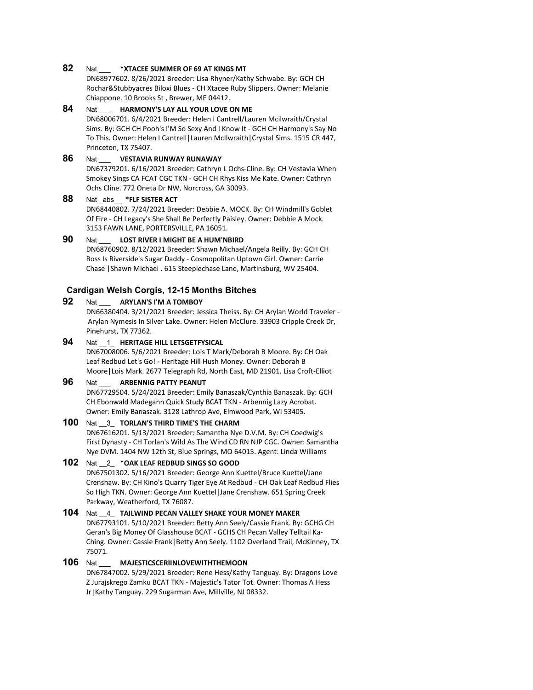# **82** Nat \_\_\_ **\*XTACEE SUMMER OF 69 AT KINGS MT**

DN68977602. 8/26/2021 Breeder: Lisa Rhyner/Kathy Schwabe. By: GCH CH Rochar&Stubbyacres Biloxi Blues - CH Xtacee Ruby Slippers. Owner: Melanie Chiappone. 10 Brooks St , Brewer, ME 04412.

#### **84** Nat \_\_\_ **HARMONY'S LAY ALL YOUR LOVE ON ME**

DN68006701. 6/4/2021 Breeder: Helen I Cantrell/Lauren Mcilwraith/Crystal Sims. By: GCH CH Pooh's I'M So Sexy And I Know It - GCH CH Harmony's Say No To This. Owner: Helen I Cantrell|Lauren McIlwraith|Crystal Sims. 1515 CR 447, Princeton, TX 75407.

# **86** Nat \_\_\_ **VESTAVIA RUNWAY RUNAWAY**

DN67379201. 6/16/2021 Breeder: Cathryn L Ochs-Cline. By: CH Vestavia When Smokey Sings CA FCAT CGC TKN - GCH CH Rhys Kiss Me Kate. Owner: Cathryn Ochs Cline. 772 Oneta Dr NW, Norcross, GA 30093.

# **88** Nat \_abs\_\_ **\*FLF SISTER ACT**

DN68440802. 7/24/2021 Breeder: Debbie A. MOCK. By: CH Windmill's Goblet Of Fire - CH Legacy's She Shall Be Perfectly Paisley. Owner: Debbie A Mock. 3153 FAWN LANE, PORTERSVILLE, PA 16051.

# **90** Nat \_\_\_ **LOST RIVER I MIGHT BE A HUM'NBIRD**

DN68760902. 8/12/2021 Breeder: Shawn Michael/Angela Reilly. By: GCH CH Boss Is Riverside's Sugar Daddy - Cosmopolitan Uptown Girl. Owner: Carrie Chase |Shawn Michael . 615 Steeplechase Lane, Martinsburg, WV 25404.

#### **Cardigan Welsh Corgis, 12-15 Months Bitches**

## **92** Nat \_\_\_ **ARYLAN'S I'M A TOMBOY**

DN66380404. 3/21/2021 Breeder: Jessica Theiss. By: CH Arylan World Traveler - Arylan Nymesis In Silver Lake. Owner: Helen McClure. 33903 Cripple Creek Dr, Pinehurst, TX 77362.

# **94** Nat \_\_1\_ **HERITAGE HILL LETSGETFYSICAL**

DN67008006. 5/6/2021 Breeder: Lois T Mark/Deborah B Moore. By: CH Oak Leaf Redbud Let's Go! - Heritage Hill Hush Money. Owner: Deborah B Moore|Lois Mark. 2677 Telegraph Rd, North East, MD 21901. Lisa Croft-Elliot

#### **96** Nat **ARBENNIG PATTY PEANUT**

DN67729504. 5/24/2021 Breeder: Emily Banaszak/Cynthia Banaszak. By: GCH CH Ebonwald Madegann Quick Study BCAT TKN - Arbennig Lazy Acrobat. Owner: Emily Banaszak. 3128 Lathrop Ave, Elmwood Park, WI 53405.

#### **100** Nat \_\_3\_ **TORLAN'S THIRD TIME'S THE CHARM**

DN67616201. 5/13/2021 Breeder: Samantha Nye D.V.M. By: CH Coedwig's First Dynasty - CH Torlan's Wild As The Wind CD RN NJP CGC. Owner: Samantha Nye DVM. 1404 NW 12th St, Blue Springs, MO 64015. Agent: Linda Williams

#### **102** Nat \_\_2\_ **\*OAK LEAF REDBUD SINGS SO GOOD**

DN67501302. 5/16/2021 Breeder: George Ann Kuettel/Bruce Kuettel/Jane Crenshaw. By: CH Kino's Quarry Tiger Eye At Redbud - CH Oak Leaf Redbud Flies So High TKN. Owner: George Ann Kuettel|Jane Crenshaw. 651 Spring Creek Parkway, Weatherford, TX 76087.

#### **104** Nat \_\_4\_ **TAILWIND PECAN VALLEY SHAKE YOUR MONEY MAKER** DN67793101. 5/10/2021 Breeder: Betty Ann Seely/Cassie Frank. By: GCHG CH Geran's Big Money Of Glasshouse BCAT - GCHS CH Pecan Valley Telltail Ka-Ching. Owner: Cassie Frank|Betty Ann Seely. 1102 Overland Trail, McKinney, TX 75071.

# **106** Nat \_\_\_ **MAJESTICSCERIINLOVEWITHTHEMOON**

DN67847002. 5/29/2021 Breeder: Rene Hess/Kathy Tanguay. By: Dragons Love Z Jurajskrego Zamku BCAT TKN - Majestic's Tator Tot. Owner: Thomas A Hess Jr|Kathy Tanguay. 229 Sugarman Ave, Millville, NJ 08332.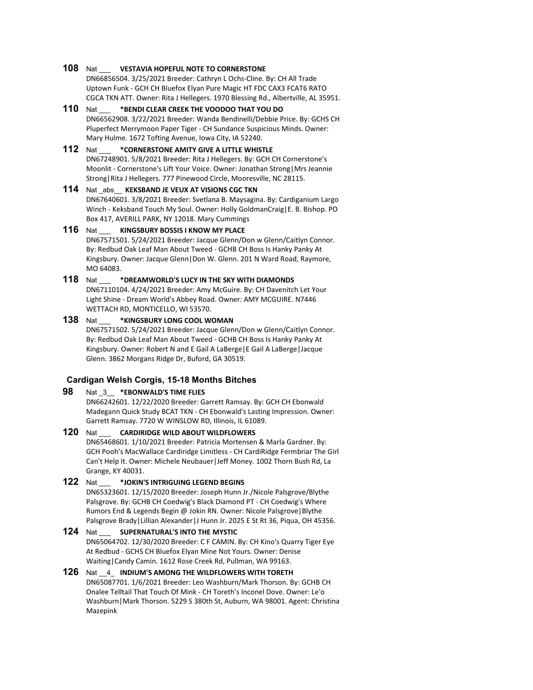# **108** Nat \_\_\_ **VESTAVIA HOPEFUL NOTE TO CORNERSTONE**

DN66856504. 3/25/2021 Breeder: Cathryn L Ochs-Cline. By: CH All Trade Uptown Funk - GCH CH Bluefox Elyan Pure Magic HT FDC CAX3 FCAT6 RATO CGCA TKN ATT. Owner: Rita J Hellegers. 1970 Blessing Rd., Albertville, AL 35951.

**110** Nat \_\_\_ **\*BENDI CLEAR CREEK THE VOODOO THAT YOU DO** DN66562908. 3/22/2021 Breeder: Wanda Bendinelli/Debbie Price. By: GCHS CH Pluperfect Merrymoon Paper Tiger - CH Sundance Suspicious Minds. Owner: Mary Hulme. 1672 Tofting Avenue, Iowa City, IA 52240.

#### **112** Nat \_\_\_ **\*CORNERSTONE AMITY GIVE A LITTLE WHISTLE** DN67248901. 5/8/2021 Breeder: Rita J Hellegers. By: GCH CH Cornerstone's Moonlit - Cornerstone's Lift Your Voice. Owner: Jonathan Strong|Mrs Jeannie Strong|Rita J Hellegers. 777 Pinewood Circle, Mooresville, NC 28115.

# **114** Nat \_abs\_\_ **KEKSBAND JE VEUX AT VISIONS CGC TKN**

DN67640601. 3/8/2021 Breeder: Svetlana B. Maysagina. By: Cardiganium Largo Winch - Keksband Touch My Soul. Owner: Holly GoldmanCraig|E. B. Bishop. PO Box 417, AVERILL PARK, NY 12018. Mary Cummings

# **116** Nat \_\_\_ **KINGSBURY BOSSIS I KNOW MY PLACE**

DN67571501. 5/24/2021 Breeder: Jacque Glenn/Don w Glenn/Caitlyn Connor. By: Redbud Oak Leaf Man About Tweed - GCHB CH Boss Is Hanky Panky At Kingsbury. Owner: Jacque Glenn|Don W. Glenn. 201 N Ward Road, Raymore, MO 64083.

# **118** Nat \_\_\_ **\*DREAMWORLD'S LUCY IN THE SKY WITH DIAMONDS**

DN67110104. 4/24/2021 Breeder: Amy McGuire. By: CH Davenitch Let Your Light Shine - Dream World's Abbey Road. Owner: AMY MCGUIRE. N7446 WETTACH RD, MONTICELLO, WI 53570.

# **138** Nat \_\_\_ **\*KINGSBURY LONG COOL WOMAN**

DN67571502. 5/24/2021 Breeder: Jacque Glenn/Don w Glenn/Caitlyn Connor. By: Redbud Oak Leaf Man About Tweed - GCHB CH Boss Is Hanky Panky At Kingsbury. Owner: Robert N and E Gail A LaBerge|E Gail A LaBerge|Jacque Glenn. 3862 Morgans Ridge Dr, Buford, GA 30519.

# **Cardigan Welsh Corgis, 15-18 Months Bitches**

# **98** Nat \_3\_\_ **\*EBONWALD'S TIME FLIES**

DN66242601. 12/22/2020 Breeder: Garrett Ramsay. By: GCH CH Ebonwald Madegann Quick Study BCAT TKN - CH Ebonwald's Lasting Impression. Owner: Garrett Ramsay. 7720 W WINSLOW RD, Illinois, IL 61089.

**120** Nat \_\_\_ **CARDIRIDGE WILD ABOUT WILDFLOWERS** DN65468601. 1/10/2021 Breeder: Patricia Mortensen & Marla Gardner. By: GCH Pooh's MacWallace Cardiridge Limitless - CH CardiRidge Fermbriar The Girl Can't Help It. Owner: Michele Neubauer|Jeff Money. 1002 Thorn Bush Rd, La Grange, KY 40031. **122** Nat \_\_\_ **\*JOKIN'S INTRIGUING LEGEND BEGINS**

# DN65323601. 12/15/2020 Breeder: Joseph Hunn Jr./Nicole Palsgrove/Blythe Palsgrove. By: GCHB CH Coedwig's Black Diamond PT - CH Coedwig's Where Rumors End & Legends Begin @ Jokin RN. Owner: Nicole Palsgrove|Blythe Palsgrove Brady|Lillian Alexander|J Hunn Jr. 2025 E St Rt 36, Piqua, OH 45356.

## **124** Nat \_\_\_ **SUPERNATURAL'S INTO THE MYSTIC** DN65064702. 12/30/2020 Breeder: C F CAMIN. By: CH Kino's Quarry Tiger Eye At Redbud - GCHS CH Bluefox Elyan Mine Not Yours. Owner: Denise Waiting|Candy Camin. 1612 Rose Creek Rd, Pullman, WA 99163.

#### **126** Nat \_\_4\_ **INDIUM'S AMONG THE WILDFLOWERS WITH TORETH** DN65087701. 1/6/2021 Breeder: Leo Washburn/Mark Thorson. By: GCHB CH Onalee Telltail That Touch Of Mink - CH Toreth's Inconel Dove. Owner: Le'o Washburn|Mark Thorson. 5229 S 380th St, Auburn, WA 98001. Agent: Christina Mazepink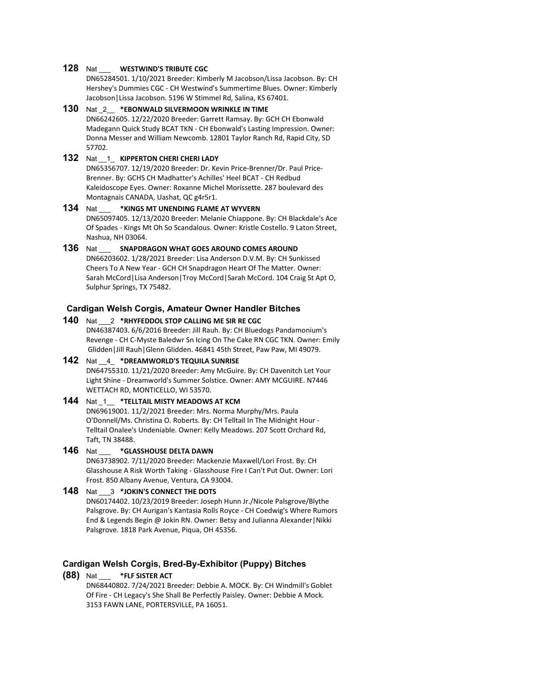# **128** Nat \_\_\_ **WESTWIND'S TRIBUTE CGC**

DN65284501. 1/10/2021 Breeder: Kimberly M Jacobson/Lissa Jacobson. By: CH Hershey's Dummies CGC - CH Westwind's Summertime Blues. Owner: Kimberly Jacobson|Lissa Jacobson. 5196 W Stimmel Rd, Salina, KS 67401.

**130** Nat \_2\_\_ **\*EBONWALD SILVERMOON WRINKLE IN TIME** DN66242605. 12/22/2020 Breeder: Garrett Ramsay. By: GCH CH Ebonwald Madegann Quick Study BCAT TKN - CH Ebonwald's Lasting Impression. Owner: Donna Messer and William Newcomb. 12801 Taylor Ranch Rd, Rapid City, SD 57702.

# **132** Nat \_\_1\_ **KIPPERTON CHERI CHERI LADY**

DN65356707. 12/19/2020 Breeder: Dr. Kevin Price-Brenner/Dr. Paul Price-Brenner. By: GCHS CH Madhatter's Achilles' Heel BCAT - CH Redbud Kaleidoscope Eyes. Owner: Roxanne Michel Morissette. 287 boulevard des Montagnais CANADA, Uashat, QC g4r5r1.

**134** Nat \_\_\_ **\*KINGS MT UNENDING FLAME AT WYVERN** DN65097405. 12/13/2020 Breeder: Melanie Chiappone. By: CH Blackdale's Ace Of Spades - Kings Mt Oh So Scandalous. Owner: Kristle Costello. 9 Laton Street, Nashua, NH 03064.

**136** Nat \_\_\_ **SNAPDRAGON WHAT GOES AROUND COMES AROUND** DN66203602. 1/28/2021 Breeder: Lisa Anderson D.V.M. By: CH Sunkissed Cheers To A New Year - GCH CH Snapdragon Heart Of The Matter. Owner: Sarah McCord|Lisa Anderson|Troy McCord|Sarah McCord. 104 Craig St Apt O, Sulphur Springs, TX 75482.

#### **Cardigan Welsh Corgis, Amateur Owner Handler Bitches**

- **140** Nat \_\_\_2 **\*RHYFEDDOL STOP CALLING ME SIR RE CGC** DN46387403. 6/6/2016 Breeder: Jill Rauh. By: CH Bluedogs Pandamonium's Revenge - CH C-Myste Baledwr Sn Icing On The Cake RN CGC TKN. Owner: Emily Glidden|Jill Rauh|Glenn Glidden. 46841 45th Street, Paw Paw, MI 49079.
- **142** Nat \_\_4\_ **\*DREAMWORLD'S TEQUILA SUNRISE** DN64755310. 11/21/2020 Breeder: Amy McGuire. By: CH Davenitch Let Your Light Shine - Dreamworld's Summer Solstice. Owner: AMY MCGUIRE. N7446 WETTACH RD, MONTICELLO, WI 53570.

#### **144** Nat \_1\_\_ **\*TELLTAIL MISTY MEADOWS AT KCM** DN69619001. 11/2/2021 Breeder: Mrs. Norma Murphy/Mrs. Paula O'Donnell/Ms. Christina O. Roberts. By: CH Telltail In The Midnight Hour - Telltail Onalee's Undeniable. Owner: Kelly Meadows. 207 Scott Orchard Rd, Taft, TN 38488.

**146** Nat \_\_\_ **\*GLASSHOUSE DELTA DAWN** DN63738902. 7/11/2020 Breeder: Mackenzie Maxwell/Lori Frost. By: CH Glasshouse A Risk Worth Taking - Glasshouse Fire I Can't Put Out. Owner: Lori Frost. 850 Albany Avenue, Ventura, CA 93004.

**148** Nat \_\_\_3 **\*JOKIN'S CONNECT THE DOTS** DN60174402. 10/23/2019 Breeder: Joseph Hunn Jr./Nicole Palsgrove/Blythe Palsgrove. By: CH Aurigan's Kantasia Rolls Royce - CH Coedwig's Where Rumors End & Legends Begin @ Jokin RN. Owner: Betsy and Julianna Alexander|Nikki Palsgrove. 1818 Park Avenue, Piqua, OH 45356.

#### **Cardigan Welsh Corgis, Bred-By-Exhibitor (Puppy) Bitches**

**(88)** Nat \_\_\_ **\*FLF SISTER ACT**

DN68440802. 7/24/2021 Breeder: Debbie A. MOCK. By: CH Windmill's Goblet Of Fire - CH Legacy's She Shall Be Perfectly Paisley. Owner: Debbie A Mock. 3153 FAWN LANE, PORTERSVILLE, PA 16051.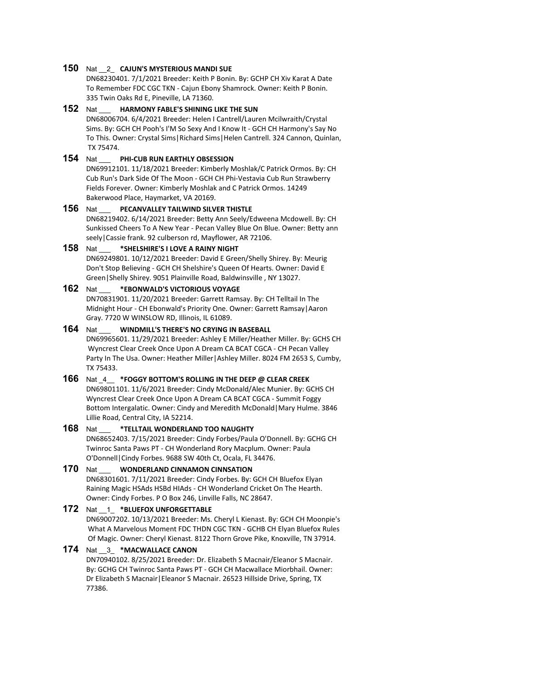#### **150** Nat \_\_2\_ **CAJUN'S MYSTERIOUS MANDI SUE**

DN68230401. 7/1/2021 Breeder: Keith P Bonin. By: GCHP CH Xiv Karat A Date To Remember FDC CGC TKN - Cajun Ebony Shamrock. Owner: Keith P Bonin. 335 Twin Oaks Rd E, Pineville, LA 71360.

#### **152** Nat \_\_\_ **HARMONY FABLE'S SHINING LIKE THE SUN**

DN68006704. 6/4/2021 Breeder: Helen I Cantrell/Lauren Mcilwraith/Crystal Sims. By: GCH CH Pooh's I'M So Sexy And I Know It - GCH CH Harmony's Say No To This. Owner: Crystal Sims|Richard Sims|Helen Cantrell. 324 Cannon, Quinlan, TX 75474.

# **154** Nat \_\_\_ **PHI-CUB RUN EARTHLY OBSESSION**

DN69912101. 11/18/2021 Breeder: Kimberly Moshlak/C Patrick Ormos. By: CH Cub Run's Dark Side Of The Moon - GCH CH Phi-Vestavia Cub Run Strawberry Fields Forever. Owner: Kimberly Moshlak and C Patrick Ormos. 14249 Bakerwood Place, Haymarket, VA 20169.

#### **156** Nat \_\_\_ **PECANVALLEY TAILWIND SILVER THISTLE**

DN68219402. 6/14/2021 Breeder: Betty Ann Seely/Edweena Mcdowell. By: CH Sunkissed Cheers To A New Year - Pecan Valley Blue On Blue. Owner: Betty ann seely|Cassie frank. 92 culberson rd, Mayflower, AR 72106.

#### **158** Nat \_\_\_ **\*SHELSHIRE'S I LOVE A RAINY NIGHT**

DN69249801. 10/12/2021 Breeder: David E Green/Shelly Shirey. By: Meurig Don't Stop Believing - GCH CH Shelshire's Queen Of Hearts. Owner: David E Green|Shelly Shirey. 9051 Plainville Road, Baldwinsville , NY 13027.

#### **162** Nat \_\_\_ **\*EBONWALD'S VICTORIOUS VOYAGE**

DN70831901. 11/20/2021 Breeder: Garrett Ramsay. By: CH Telltail In The Midnight Hour - CH Ebonwald's Priority One. Owner: Garrett Ramsay|Aaron Gray. 7720 W WINSLOW RD, Illinois, IL 61089.

#### **164** Nat \_\_\_ **WINDMILL'S THERE'S NO CRYING IN BASEBALL**

DN69965601. 11/29/2021 Breeder: Ashley E Miller/Heather Miller. By: GCHS CH Wyncrest Clear Creek Once Upon A Dream CA BCAT CGCA - CH Pecan Valley Party In The Usa. Owner: Heather Miller | Ashley Miller. 8024 FM 2653 S, Cumby, TX 75433.

# **166** Nat \_4\_\_ **\*FOGGY BOTTOM'S ROLLING IN THE DEEP @ CLEAR CREEK**

DN69801101. 11/6/2021 Breeder: Cindy McDonald/Alec Munier. By: GCHS CH Wyncrest Clear Creek Once Upon A Dream CA BCAT CGCA - Summit Foggy Bottom Intergalatic. Owner: Cindy and Meredith McDonald|Mary Hulme. 3846 Lillie Road, Central City, IA 52214.

# **168** Nat \_\_\_ **\*TELLTAIL WONDERLAND TOO NAUGHTY**

DN68652403. 7/15/2021 Breeder: Cindy Forbes/Paula O'Donnell. By: GCHG CH Twinroc Santa Paws PT - CH Wonderland Rory Macplum. Owner: Paula O'Donnell|Cindy Forbes. 9688 SW 40th Ct, Ocala, FL 34476.

# **170** Nat \_\_\_ **WONDERLAND CINNAMON CINNSATION**

DN68301601. 7/11/2021 Breeder: Cindy Forbes. By: GCH CH Bluefox Elyan Raining Magic HSAds HSBd HIAds - CH Wonderland Cricket On The Hearth. Owner: Cindy Forbes. P O Box 246, Linville Falls, NC 28647.

# **172** Nat \_\_1\_ **\*BLUEFOX UNFORGETTABLE**

DN69007202. 10/13/2021 Breeder: Ms. Cheryl L Kienast. By: GCH CH Moonpie's What A Marvelous Moment FDC THDN CGC TKN - GCHB CH Elyan Bluefox Rules Of Magic. Owner: Cheryl Kienast. 8122 Thorn Grove Pike, Knoxville, TN 37914.

#### **174** Nat \_\_3\_ **\*MACWALLACE CANON**

DN70940102. 8/25/2021 Breeder: Dr. Elizabeth S Macnair/Eleanor S Macnair. By: GCHG CH Twinroc Santa Paws PT - GCH CH Macwallace Miorbhail. Owner: Dr Elizabeth S Macnair|Eleanor S Macnair. 26523 Hillside Drive, Spring, TX 77386.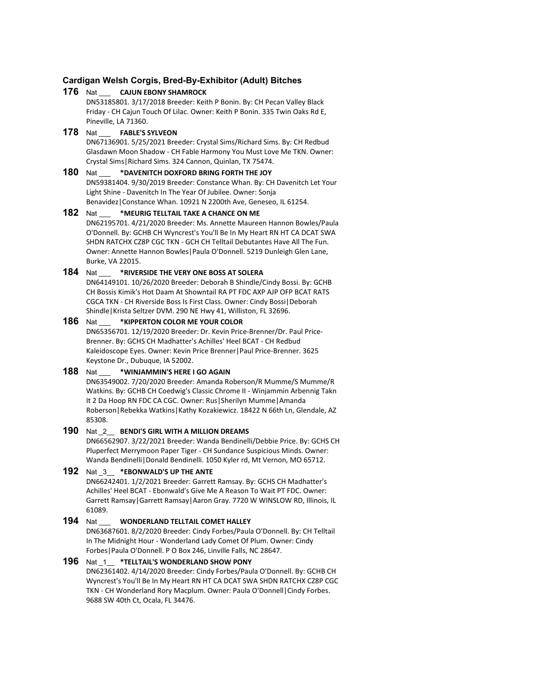# **Cardigan Welsh Corgis, Bred-By-Exhibitor (Adult) Bitches**

# **176** Nat \_\_\_ **CAJUN EBONY SHAMROCK**

DN53185801. 3/17/2018 Breeder: Keith P Bonin. By: CH Pecan Valley Black Friday - CH Cajun Touch Of Lilac. Owner: Keith P Bonin. 335 Twin Oaks Rd E, Pineville, LA 71360.

# **178** Nat \_\_\_ **FABLE'S SYLVEON**

DN67136901. 5/25/2021 Breeder: Crystal Sims/Richard Sims. By: CH Redbud Glasdawn Moon Shadow - CH Fable Harmony You Must Love Me TKN. Owner: Crystal Sims|Richard Sims. 324 Cannon, Quinlan, TX 75474.

#### **180** Nat \_\_\_ **\*DAVENITCH DOXFORD BRING FORTH THE JOY** DN59381404. 9/30/2019 Breeder: Constance Whan. By: CH Davenitch Let Your Light Shine - Davenitch In The Year Of Jubilee. Owner: Sonja Benavidez|Constance Whan. 10921 N 2200th Ave, Geneseo, IL 61254.

# **182** Nat \_\_\_ **\*MEURIG TELLTAIL TAKE A CHANCE ON ME**

DN62195701. 4/21/2020 Breeder: Ms. Annette Maureen Hannon Bowles/Paula O'Donnell. By: GCHB CH Wyncrest's You'll Be In My Heart RN HT CA DCAT SWA SHDN RATCHX CZ8P CGC TKN - GCH CH Telltail Debutantes Have All The Fun. Owner: Annette Hannon Bowles|Paula O'Donnell. 5219 Dunleigh Glen Lane, Burke, VA 22015.

# **184** Nat \_\_\_ **\*RIVERSIDE THE VERY ONE BOSS AT SOLERA**

DN64149101. 10/26/2020 Breeder: Deborah B Shindle/Cindy Bossi. By: GCHB CH Bossis Kimik's Hot Daam At Showntail RA PT FDC AXP AJP OFP BCAT RATS CGCA TKN - CH Riverside Boss Is First Class. Owner: Cindy Bossi|Deborah Shindle|Krista Seltzer DVM. 290 NE Hwy 41, Williston, FL 32696.

# **186** Nat \_\_\_ **\*KIPPERTON COLOR ME YOUR COLOR**

DN65356701. 12/19/2020 Breeder: Dr. Kevin Price-Brenner/Dr. Paul Price-Brenner. By: GCHS CH Madhatter's Achilles' Heel BCAT - CH Redbud Kaleidoscope Eyes. Owner: Kevin Price Brenner|Paul Price-Brenner. 3625 Keystone Dr., Dubuque, IA 52002.

# **188** Nat \_\_\_ **\*WINJAMMIN'S HERE I GO AGAIN**

DN63549002. 7/20/2020 Breeder: Amanda Roberson/R Mumme/S Mumme/R Watkins. By: GCHB CH Coedwig's Classic Chrome II - Winjammin Arbennig Takn It 2 Da Hoop RN FDC CA CGC. Owner: Rus|Sherilyn Mumme|Amanda Roberson|Rebekka Watkins|Kathy Kozakiewicz. 18422 N 66th Ln, Glendale, AZ 85308.

# **190** Nat \_2\_\_ **BENDI'S GIRL WITH A MILLION DREAMS**

DN66562907. 3/22/2021 Breeder: Wanda Bendinelli/Debbie Price. By: GCHS CH Pluperfect Merrymoon Paper Tiger - CH Sundance Suspicious Minds. Owner: Wanda Bendinelli|Donald Bendinelli. 1050 Kyler rd, Mt Vernon, MO 65712.

# **192** Nat \_3\_\_ **\*EBONWALD'S UP THE ANTE**

DN66242401. 1/2/2021 Breeder: Garrett Ramsay. By: GCHS CH Madhatter's Achilles' Heel BCAT - Ebonwald's Give Me A Reason To Wait PT FDC. Owner: Garrett Ramsay|Garrett Ramsay|Aaron Gray. 7720 W WINSLOW RD, Illinois, IL 61089.

# **194** Nat \_\_\_ **WONDERLAND TELLTAIL COMET HALLEY**

DN63687601. 8/2/2020 Breeder: Cindy Forbes/Paula O'Donnell. By: CH Telltail In The Midnight Hour - Wonderland Lady Comet Of Plum. Owner: Cindy Forbes|Paula O'Donnell. P O Box 246, Linville Falls, NC 28647.

# **196** Nat \_1\_\_ **\*TELLTAIL'S WONDERLAND SHOW PONY**

DN62361402. 4/14/2020 Breeder: Cindy Forbes/Paula O'Donnell. By: GCHB CH Wyncrest's You'll Be In My Heart RN HT CA DCAT SWA SHDN RATCHX CZ8P CGC TKN - CH Wonderland Rory Macplum. Owner: Paula O'Donnell|Cindy Forbes. 9688 SW 40th Ct, Ocala, FL 34476.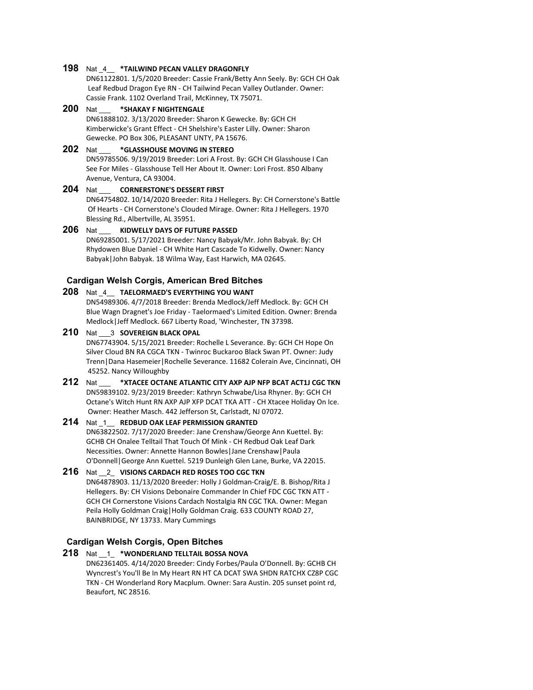#### **198** Nat \_4\_\_ **\*TAILWIND PECAN VALLEY DRAGONFLY**

DN61122801. 1/5/2020 Breeder: Cassie Frank/Betty Ann Seely. By: GCH CH Oak Leaf Redbud Dragon Eye RN - CH Tailwind Pecan Valley Outlander. Owner: Cassie Frank. 1102 Overland Trail, McKinney, TX 75071.

**200** Nat \_\_\_ **\*SHAKAY F NIGHTENGALE** DN61888102. 3/13/2020 Breeder: Sharon K Gewecke. By: GCH CH Kimberwicke's Grant Effect - CH Shelshire's Easter Lilly. Owner: Sharon Gewecke. PO Box 306, PLEASANT UNTY, PA 15676.

#### **202** Nat \_\_\_ **\*GLASSHOUSE MOVING IN STEREO** DN59785506. 9/19/2019 Breeder: Lori A Frost. By: GCH CH Glasshouse I Can See For Miles - Glasshouse Tell Her About It. Owner: Lori Frost. 850 Albany Avenue, Ventura, CA 93004.

# **204** Nat \_\_\_ **CORNERSTONE'S DESSERT FIRST** DN64754802. 10/14/2020 Breeder: Rita J Hellegers. By: CH Cornerstone's Battle Of Hearts - CH Cornerstone's Clouded Mirage. Owner: Rita J Hellegers. 1970 Blessing Rd., Albertville, AL 35951.

**206** Nat \_\_\_ **KIDWELLY DAYS OF FUTURE PASSED** DN69285001. 5/17/2021 Breeder: Nancy Babyak/Mr. John Babyak. By: CH Rhydowen Blue Daniel - CH White Hart Cascade To Kidwelly. Owner: Nancy Babyak|John Babyak. 18 Wilma Way, East Harwich, MA 02645.

# **Cardigan Welsh Corgis, American Bred Bitches**

#### **208** Nat \_4\_\_ **TAELORMAED'S EVERYTHING YOU WANT**

DN54989306. 4/7/2018 Breeder: Brenda Medlock/Jeff Medlock. By: GCH CH Blue Wagn Dragnet's Joe Friday - Taelormaed's Limited Edition. Owner: Brenda Medlock|Jeff Medlock. 667 Liberty Road, 'Winchester, TN 37398.

# **210** Nat \_\_\_3 **SOVEREIGN BLACK OPAL** DN67743904. 5/15/2021 Breeder: Rochelle L Severance. By: GCH CH Hope On Silver Cloud BN RA CGCA TKN - Twinroc Buckaroo Black Swan PT. Owner: Judy Trenn|Dana Hasemeier|Rochelle Severance. 11682 Colerain Ave, Cincinnati, OH 45252. Nancy Willoughby

#### **212** Nat \_\_\_ **\*XTACEE OCTANE ATLANTIC CITY AXP AJP NFP BCAT ACT1J CGC TKN** DN59839102. 9/23/2019 Breeder: Kathryn Schwabe/Lisa Rhyner. By: GCH CH Octane's Witch Hunt RN AXP AJP XFP DCAT TKA ATT - CH Xtacee Holiday On Ice. Owner: Heather Masch. 442 Jefferson St, Carlstadt, NJ 07072.

#### **214** Nat \_1\_\_ **REDBUD OAK LEAF PERMISSION GRANTED** DN63822502. 7/17/2020 Breeder: Jane Crenshaw/George Ann Kuettel. By: GCHB CH Onalee Telltail That Touch Of Mink - CH Redbud Oak Leaf Dark Necessities. Owner: Annette Hannon Bowles|Jane Crenshaw|Paula O'Donnell|George Ann Kuettel. 5219 Dunleigh Glen Lane, Burke, VA 22015.

#### **216** Nat \_\_2\_ **VISIONS CARDACH RED ROSES TOO CGC TKN** DN64878903. 11/13/2020 Breeder: Holly J Goldman-Craig/E. B. Bishop/Rita J Hellegers. By: CH Visions Debonaire Commander In Chief FDC CGC TKN ATT - GCH CH Cornerstone Visions Cardach Nostalgia RN CGC TKA. Owner: Megan Peila Holly Goldman Craig|Holly Goldman Craig. 633 COUNTY ROAD 27, BAINBRIDGE, NY 13733. Mary Cummings

# **Cardigan Welsh Corgis, Open Bitches**

**218** Nat \_\_1\_ **\*WONDERLAND TELLTAIL BOSSA NOVA** DN62361405. 4/14/2020 Breeder: Cindy Forbes/Paula O'Donnell. By: GCHB CH Wyncrest's You'll Be In My Heart RN HT CA DCAT SWA SHDN RATCHX CZ8P CGC TKN - CH Wonderland Rory Macplum. Owner: Sara Austin. 205 sunset point rd, Beaufort, NC 28516.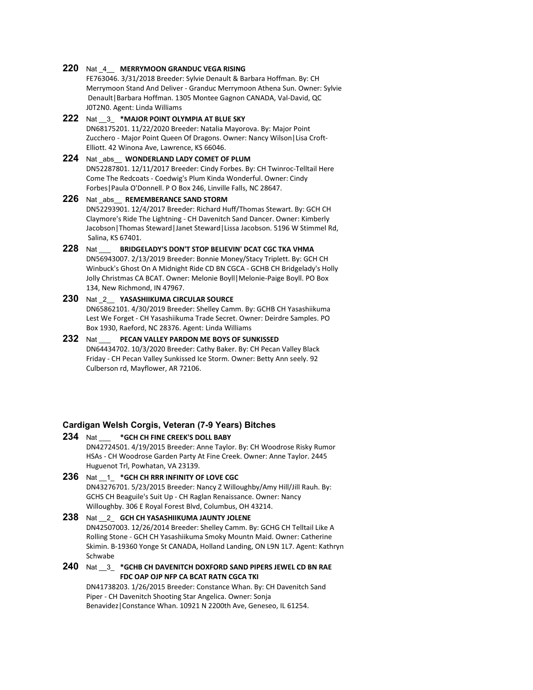#### **220** Nat \_4\_\_ **MERRYMOON GRANDUC VEGA RISING**

FE763046. 3/31/2018 Breeder: Sylvie Denault & Barbara Hoffman. By: CH Merrymoon Stand And Deliver - Granduc Merrymoon Athena Sun. Owner: Sylvie Denault|Barbara Hoffman. 1305 Montee Gagnon CANADA, Val-David, QC J0T2N0. Agent: Linda Williams

**222** Nat \_\_3\_ **\*MAJOR POINT OLYMPIA AT BLUE SKY** DN68175201. 11/22/2020 Breeder: Natalia Mayorova. By: Major Point Zucchero - Major Point Queen Of Dragons. Owner: Nancy Wilson|Lisa Croft-Elliott. 42 Winona Ave, Lawrence, KS 66046.

#### **224** Nat \_abs\_\_ **WONDERLAND LADY COMET OF PLUM** DN52287801. 12/11/2017 Breeder: Cindy Forbes. By: CH Twinroc-Telltail Here Come The Redcoats - Coedwig's Plum Kinda Wonderful. Owner: Cindy Forbes|Paula O'Donnell. P O Box 246, Linville Falls, NC 28647.

#### **226** Nat \_abs\_\_ **REMEMBERANCE SAND STORM** DN52293901. 12/4/2017 Breeder: Richard Huff/Thomas Stewart. By: GCH CH Claymore's Ride The Lightning - CH Davenitch Sand Dancer. Owner: Kimberly Jacobson|Thomas Steward|Janet Steward|Lissa Jacobson. 5196 W Stimmel Rd, Salina, KS 67401.

**228** Nat \_\_\_ **BRIDGELADY'S DON'T STOP BELIEVIN' DCAT CGC TKA VHMA** DN56943007. 2/13/2019 Breeder: Bonnie Money/Stacy Triplett. By: GCH CH Winbuck's Ghost On A Midnight Ride CD BN CGCA - GCHB CH Bridgelady's Holly Jolly Christmas CA BCAT. Owner: Melonie Boyll|Melonie-Paige Boyll. PO Box 134, New Richmond, IN 47967.

# **230** Nat \_2\_\_ **YASASHIIKUMA CIRCULAR SOURCE**

DN65862101. 4/30/2019 Breeder: Shelley Camm. By: GCHB CH Yasashiikuma Lest We Forget - CH Yasashiikuma Trade Secret. Owner: Deirdre Samples. PO Box 1930, Raeford, NC 28376. Agent: Linda Williams

**232** Nat \_\_\_ **PECAN VALLEY PARDON ME BOYS OF SUNKISSED** DN64434702. 10/3/2020 Breeder: Cathy Baker. By: CH Pecan Valley Black Friday - CH Pecan Valley Sunkissed Ice Storm. Owner: Betty Ann seely. 92 Culberson rd, Mayflower, AR 72106.

#### **Cardigan Welsh Corgis, Veteran (7-9 Years) Bitches**

- **234** Nat \_\_\_ **\*GCH CH FINE CREEK'S DOLL BABY** DN42724501. 4/19/2015 Breeder: Anne Taylor. By: CH Woodrose Risky Rumor HSAs - CH Woodrose Garden Party At Fine Creek. Owner: Anne Taylor. 2445 Huguenot Trl, Powhatan, VA 23139.
- **236** Nat \_\_1\_ **\*GCH CH RRR INFINITY OF LOVE CGC** DN43276701. 5/23/2015 Breeder: Nancy Z Willoughby/Amy Hill/Jill Rauh. By: GCHS CH Beaguile's Suit Up - CH Raglan Renaissance. Owner: Nancy Willoughby. 306 E Royal Forest Blvd, Columbus, OH 43214.
- **238** Nat \_\_2\_ **GCH CH YASASHIIKUMA JAUNTY JOLENE** DN42507003. 12/26/2014 Breeder: Shelley Camm. By: GCHG CH Telltail Like A Rolling Stone - GCH CH Yasashiikuma Smoky Mountn Maid. Owner: Catherine Skimin. B-19360 Yonge St CANADA, Holland Landing, ON L9N 1L7. Agent: Kathryn Schwabe
- **240** Nat \_\_3\_ **\*GCHB CH DAVENITCH DOXFORD SAND PIPERS JEWEL CD BN RAE FDC OAP OJP NFP CA BCAT RATN CGCA TKI**

DN41738203. 1/26/2015 Breeder: Constance Whan. By: CH Davenitch Sand Piper - CH Davenitch Shooting Star Angelica. Owner: Sonja Benavidez|Constance Whan. 10921 N 2200th Ave, Geneseo, IL 61254.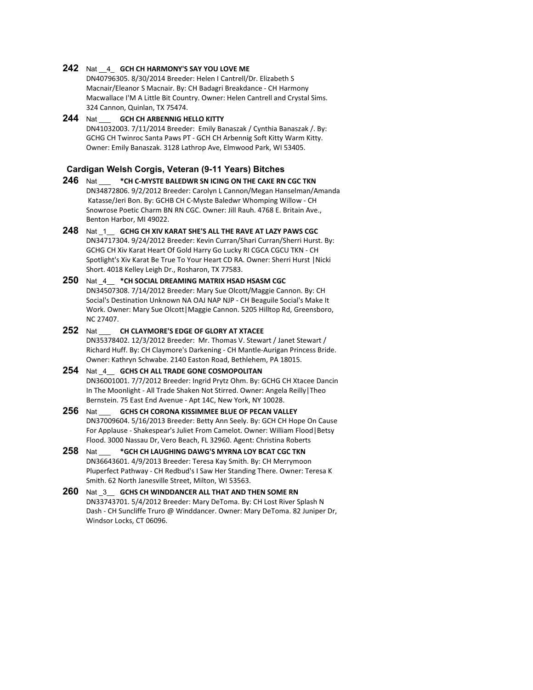#### **242** Nat \_\_4\_ **GCH CH HARMONY'S SAY YOU LOVE ME**

DN40796305. 8/30/2014 Breeder: Helen I Cantrell/Dr. Elizabeth S Macnair/Eleanor S Macnair. By: CH Badagri Breakdance - CH Harmony Macwallace I'M A Little Bit Country. Owner: Helen Cantrell and Crystal Sims. 324 Cannon, Quinlan, TX 75474.

**244** Nat \_\_\_ **GCH CH ARBENNIG HELLO KITTY** DN41032003. 7/11/2014 Breeder: Emily Banaszak / Cynthia Banaszak /. By: GCHG CH Twinroc Santa Paws PT - GCH CH Arbennig Soft Kitty Warm Kitty. Owner: Emily Banaszak. 3128 Lathrop Ave, Elmwood Park, WI 53405.

## **Cardigan Welsh Corgis, Veteran (9-11 Years) Bitches**

- **246** Nat \_\_\_ **\*CH C-MYSTE BALEDWR SN ICING ON THE CAKE RN CGC TKN** DN34872806. 9/2/2012 Breeder: Carolyn L Cannon/Megan Hanselman/Amanda Katasse/Jeri Bon. By: GCHB CH C-Myste Baledwr Whomping Willow - CH Snowrose Poetic Charm BN RN CGC. Owner: Jill Rauh. 4768 E. Britain Ave., Benton Harbor, MI 49022.
- **248** Nat \_1\_\_ **GCHG CH XIV KARAT SHE'S ALL THE RAVE AT LAZY PAWS CGC** DN34717304. 9/24/2012 Breeder: Kevin Curran/Shari Curran/Sherri Hurst. By: GCHG CH Xiv Karat Heart Of Gold Harry Go Lucky RI CGCA CGCU TKN - CH Spotlight's Xiv Karat Be True To Your Heart CD RA. Owner: Sherri Hurst |Nicki Short. 4018 Kelley Leigh Dr., Rosharon, TX 77583.
- **250** Nat \_4\_\_ **\*CH SOCIAL DREAMING MATRIX HSAD HSASM CGC** DN34507308. 7/14/2012 Breeder: Mary Sue Olcott/Maggie Cannon. By: CH Social's Destination Unknown NA OAJ NAP NJP - CH Beaguile Social's Make It Work. Owner: Mary Sue Olcott|Maggie Cannon. 5205 Hilltop Rd, Greensboro, NC 27407.
- **252** Nat \_\_\_ **CH CLAYMORE'S EDGE OF GLORY AT XTACEE** DN35378402. 12/3/2012 Breeder: Mr. Thomas V. Stewart / Janet Stewart / Richard Huff. By: CH Claymore's Darkening - CH Mantle-Aurigan Princess Bride. Owner: Kathryn Schwabe. 2140 Easton Road, Bethlehem, PA 18015.
- **254** Nat \_4\_\_ **GCHS CH ALL TRADE GONE COSMOPOLITAN** DN36001001. 7/7/2012 Breeder: Ingrid Prytz Ohm. By: GCHG CH Xtacee Dancin In The Moonlight - All Trade Shaken Not Stirred. Owner: Angela Reilly|Theo Bernstein. 75 East End Avenue - Apt 14C, New York, NY 10028.
- **256** Nat \_\_\_ **GCHS CH CORONA KISSIMMEE BLUE OF PECAN VALLEY** DN37009604. 5/16/2013 Breeder: Betty Ann Seely. By: GCH CH Hope On Cause For Applause - Shakespear's Juliet From Camelot. Owner: William Flood|Betsy Flood. 3000 Nassau Dr, Vero Beach, FL 32960. Agent: Christina Roberts
- **258** Nat \_\_\_ **\*GCH CH LAUGHING DAWG'S MYRNA LOY BCAT CGC TKN** DN36643601. 4/9/2013 Breeder: Teresa Kay Smith. By: CH Merrymoon Pluperfect Pathway - CH Redbud's I Saw Her Standing There. Owner: Teresa K Smith. 62 North Janesville Street, Milton, WI 53563.
- **260** Nat \_3\_\_ **GCHS CH WINDDANCER ALL THAT AND THEN SOME RN** DN33743701. 5/4/2012 Breeder: Mary DeToma. By: CH Lost River Splash N Dash - CH Suncliffe Truro @ Winddancer. Owner: Mary DeToma. 82 Juniper Dr, Windsor Locks, CT 06096.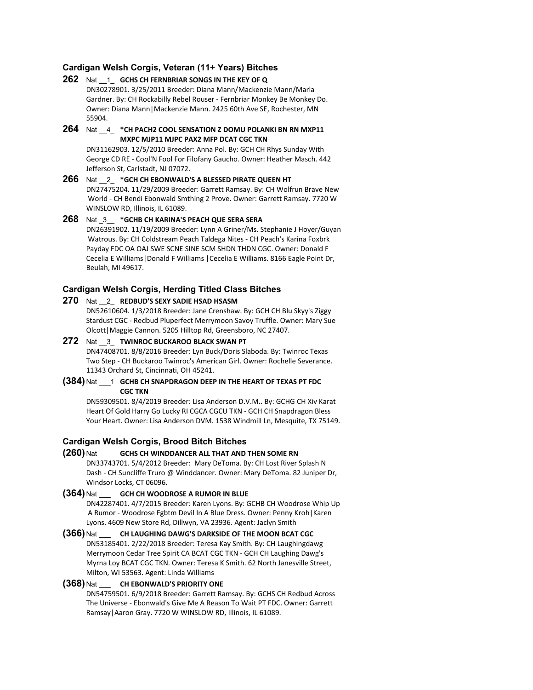## **Cardigan Welsh Corgis, Veteran (11+ Years) Bitches**

#### **262** Nat \_\_1\_ **GCHS CH FERNBRIAR SONGS IN THE KEY OF Q** DN30278901. 3/25/2011 Breeder: Diana Mann/Mackenzie Mann/Marla

Gardner. By: CH Rockabilly Rebel Rouser - Fernbriar Monkey Be Monkey Do. Owner: Diana Mann|Mackenzie Mann. 2425 60th Ave SE, Rochester, MN 55904.

## **264** Nat \_\_4\_ **\*CH PACH2 COOL SENSATION Z DOMU POLANKI BN RN MXP11 MXPC MJP11 MJPC PAX2 MFP DCAT CGC TKN**

DN31162903. 12/5/2010 Breeder: Anna Pol. By: GCH CH Rhys Sunday With George CD RE - Cool'N Fool For Filofany Gaucho. Owner: Heather Masch. 442 Jefferson St, Carlstadt, NJ 07072.

# **266** Nat \_\_2\_ **\*GCH CH EBONWALD'S A BLESSED PIRATE QUEEN HT** DN27475204. 11/29/2009 Breeder: Garrett Ramsay. By: CH Wolfrun Brave New World - CH Bendi Ebonwald Smthing 2 Prove. Owner: Garrett Ramsay. 7720 W WINSLOW RD, Illinois, IL 61089.

**268** Nat \_3\_\_ **\*GCHB CH KARINA'S PEACH QUE SERA SERA** DN26391902. 11/19/2009 Breeder: Lynn A Griner/Ms. Stephanie J Hoyer/Guyan Watrous. By: CH Coldstream Peach Taldega Nites - CH Peach's Karina Foxbrk Payday FDC OA OAJ SWE SCNE SINE SCM SHDN THDN CGC. Owner: Donald F Cecelia E Williams|Donald F Williams |Cecelia E Williams. 8166 Eagle Point Dr,

#### **Cardigan Welsh Corgis, Herding Titled Class Bitches**

#### **270** Nat \_\_2\_ **REDBUD'S SEXY SADIE HSAD HSASM**

Beulah, MI 49617.

DN52610604. 1/3/2018 Breeder: Jane Crenshaw. By: GCH CH Blu Skyy's Ziggy Stardust CGC - Redbud Pluperfect Merrymoon Savoy Truffle. Owner: Mary Sue Olcott|Maggie Cannon. 5205 Hilltop Rd, Greensboro, NC 27407.

#### **272** Nat \_\_3\_ **TWINROC BUCKAROO BLACK SWAN PT** DN47408701. 8/8/2016 Breeder: Lyn Buck/Doris Slaboda. By: Twinroc Texas Two Step - CH Buckaroo Twinroc's American Girl. Owner: Rochelle Severance. 11343 Orchard St, Cincinnati, OH 45241.

#### **(384)** Nat \_\_\_1 **GCHB CH SNAPDRAGON DEEP IN THE HEART OF TEXAS PT FDC CGC TKN**

DN59309501. 8/4/2019 Breeder: Lisa Anderson D.V.M.. By: GCHG CH Xiv Karat Heart Of Gold Harry Go Lucky RI CGCA CGCU TKN - GCH CH Snapdragon Bless Your Heart. Owner: Lisa Anderson DVM. 1538 Windmill Ln, Mesquite, TX 75149.

#### **Cardigan Welsh Corgis, Brood Bitch Bitches**

**(260)** Nat \_\_\_ **GCHS CH WINDDANCER ALL THAT AND THEN SOME RN** DN33743701. 5/4/2012 Breeder: Mary DeToma. By: CH Lost River Splash N Dash - CH Suncliffe Truro @ Winddancer. Owner: Mary DeToma. 82 Juniper Dr, Windsor Locks, CT 06096.

#### **(364)** Nat \_\_\_ **GCH CH WOODROSE A RUMOR IN BLUE**

DN42287401. 4/7/2015 Breeder: Karen Lyons. By: GCHB CH Woodrose Whip Up A Rumor - Woodrose Fgbtm Devil In A Blue Dress. Owner: Penny Kroh|Karen Lyons. 4609 New Store Rd, Dillwyn, VA 23936. Agent: Jaclyn Smith

**(366)** Nat \_\_\_ **CH LAUGHING DAWG'S DARKSIDE OF THE MOON BCAT CGC** DN53185401. 2/22/2018 Breeder: Teresa Kay Smith. By: CH Laughingdawg Merrymoon Cedar Tree Spirit CA BCAT CGC TKN - GCH CH Laughing Dawg's Myrna Loy BCAT CGC TKN. Owner: Teresa K Smith. 62 North Janesville Street, Milton, WI 53563. Agent: Linda Williams

# **(368)** Nat \_\_\_ **CH EBONWALD'S PRIORITY ONE**

DN54759501. 6/9/2018 Breeder: Garrett Ramsay. By: GCHS CH Redbud Across The Universe - Ebonwald's Give Me A Reason To Wait PT FDC. Owner: Garrett Ramsay|Aaron Gray. 7720 W WINSLOW RD, Illinois, IL 61089.